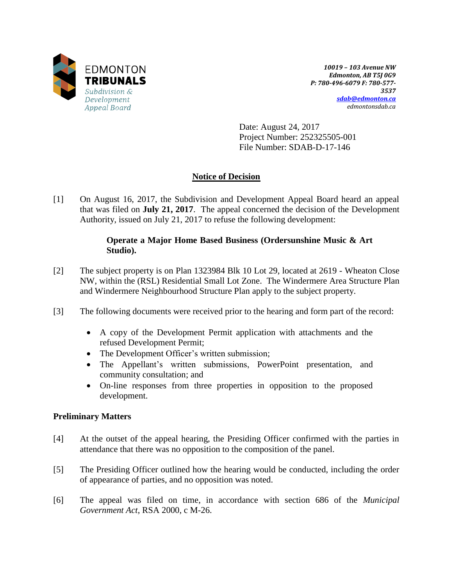

*10019 – 103 Avenue NW Edmonton, AB T5J 0G9 P: 780-496-6079 F: 780-577- 3537 [sdab@edmonton.ca](mailto:sdab@edmonton.ca) edmontonsdab.ca*

Date: August 24, 2017 Project Number: 252325505-001 File Number: SDAB-D-17-146

## **Notice of Decision**

[1] On August 16, 2017, the Subdivision and Development Appeal Board heard an appeal that was filed on **July 21, 2017**. The appeal concerned the decision of the Development Authority, issued on July 21, 2017 to refuse the following development:

## **Operate a Major Home Based Business (Ordersunshine Music & Art Studio).**

- [2] The subject property is on Plan 1323984 Blk 10 Lot 29, located at 2619 Wheaton Close NW, within the (RSL) Residential Small Lot Zone. The Windermere Area Structure Plan and Windermere Neighbourhood Structure Plan apply to the subject property.
- [3] The following documents were received prior to the hearing and form part of the record:
	- A copy of the Development Permit application with attachments and the refused Development Permit;
	- The Development Officer's written submission;
	- The Appellant's written submissions, PowerPoint presentation, and community consultation; and
	- On-line responses from three properties in opposition to the proposed development.

### **Preliminary Matters**

- [4] At the outset of the appeal hearing, the Presiding Officer confirmed with the parties in attendance that there was no opposition to the composition of the panel.
- [5] The Presiding Officer outlined how the hearing would be conducted, including the order of appearance of parties, and no opposition was noted.
- [6] The appeal was filed on time, in accordance with section 686 of the *Municipal Government Act*, RSA 2000, c M-26.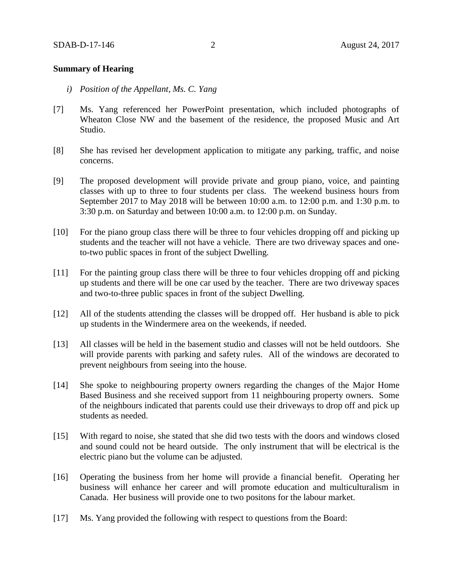#### **Summary of Hearing**

- *i) Position of the Appellant, Ms. C. Yang*
- [7] Ms. Yang referenced her PowerPoint presentation, which included photographs of Wheaton Close NW and the basement of the residence, the proposed Music and Art Studio.
- [8] She has revised her development application to mitigate any parking, traffic, and noise concerns.
- [9] The proposed development will provide private and group piano, voice, and painting classes with up to three to four students per class. The weekend business hours from September 2017 to May 2018 will be between 10:00 a.m. to 12:00 p.m. and 1:30 p.m. to 3:30 p.m. on Saturday and between 10:00 a.m. to 12:00 p.m. on Sunday.
- [10] For the piano group class there will be three to four vehicles dropping off and picking up students and the teacher will not have a vehicle. There are two driveway spaces and oneto-two public spaces in front of the subject Dwelling.
- [11] For the painting group class there will be three to four vehicles dropping off and picking up students and there will be one car used by the teacher. There are two driveway spaces and two-to-three public spaces in front of the subject Dwelling.
- [12] All of the students attending the classes will be dropped off. Her husband is able to pick up students in the Windermere area on the weekends, if needed.
- [13] All classes will be held in the basement studio and classes will not be held outdoors. She will provide parents with parking and safety rules. All of the windows are decorated to prevent neighbours from seeing into the house.
- [14] She spoke to neighbouring property owners regarding the changes of the Major Home Based Business and she received support from 11 neighbouring property owners. Some of the neighbours indicated that parents could use their driveways to drop off and pick up students as needed.
- [15] With regard to noise, she stated that she did two tests with the doors and windows closed and sound could not be heard outside. The only instrument that will be electrical is the electric piano but the volume can be adjusted.
- [16] Operating the business from her home will provide a financial benefit. Operating her business will enhance her career and will promote education and multiculturalism in Canada. Her business will provide one to two positons for the labour market.
- [17] Ms. Yang provided the following with respect to questions from the Board: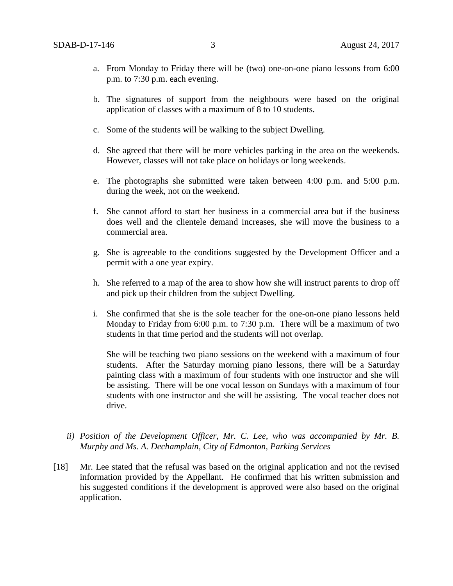- a. From Monday to Friday there will be (two) one-on-one piano lessons from 6:00 p.m. to 7:30 p.m. each evening.
- b. The signatures of support from the neighbours were based on the original application of classes with a maximum of 8 to 10 students.
- c. Some of the students will be walking to the subject Dwelling.
- d. She agreed that there will be more vehicles parking in the area on the weekends. However, classes will not take place on holidays or long weekends.
- e. The photographs she submitted were taken between 4:00 p.m. and 5:00 p.m. during the week, not on the weekend.
- f. She cannot afford to start her business in a commercial area but if the business does well and the clientele demand increases, she will move the business to a commercial area.
- g. She is agreeable to the conditions suggested by the Development Officer and a permit with a one year expiry.
- h. She referred to a map of the area to show how she will instruct parents to drop off and pick up their children from the subject Dwelling.
- i. She confirmed that she is the sole teacher for the one-on-one piano lessons held Monday to Friday from 6:00 p.m. to 7:30 p.m. There will be a maximum of two students in that time period and the students will not overlap.

She will be teaching two piano sessions on the weekend with a maximum of four students. After the Saturday morning piano lessons, there will be a Saturday painting class with a maximum of four students with one instructor and she will be assisting. There will be one vocal lesson on Sundays with a maximum of four students with one instructor and she will be assisting. The vocal teacher does not drive.

- *ii) Position of the Development Officer, Mr. C. Lee, who was accompanied by Mr. B. Murphy and Ms. A. Dechamplain, City of Edmonton, Parking Services*
- [18] Mr. Lee stated that the refusal was based on the original application and not the revised information provided by the Appellant. He confirmed that his written submission and his suggested conditions if the development is approved were also based on the original application.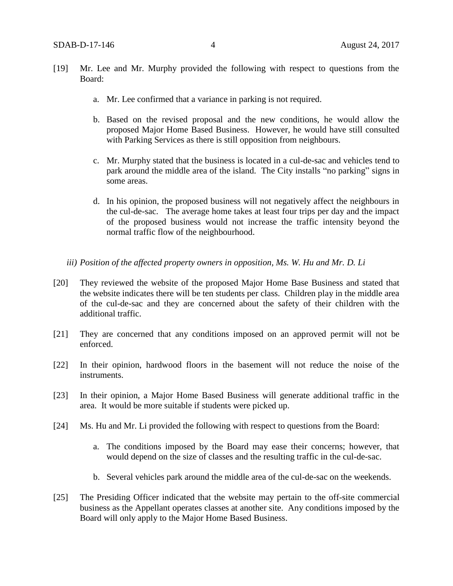- [19] Mr. Lee and Mr. Murphy provided the following with respect to questions from the Board:
	- a. Mr. Lee confirmed that a variance in parking is not required.
	- b. Based on the revised proposal and the new conditions, he would allow the proposed Major Home Based Business. However, he would have still consulted with Parking Services as there is still opposition from neighbours.
	- c. Mr. Murphy stated that the business is located in a cul-de-sac and vehicles tend to park around the middle area of the island. The City installs "no parking" signs in some areas.
	- d. In his opinion, the proposed business will not negatively affect the neighbours in the cul-de-sac. The average home takes at least four trips per day and the impact of the proposed business would not increase the traffic intensity beyond the normal traffic flow of the neighbourhood.
	- *iii) Position of the affected property owners in opposition, Ms. W. Hu and Mr. D. Li*
- [20] They reviewed the website of the proposed Major Home Base Business and stated that the website indicates there will be ten students per class. Children play in the middle area of the cul-de-sac and they are concerned about the safety of their children with the additional traffic.
- [21] They are concerned that any conditions imposed on an approved permit will not be enforced.
- [22] In their opinion, hardwood floors in the basement will not reduce the noise of the instruments.
- [23] In their opinion, a Major Home Based Business will generate additional traffic in the area. It would be more suitable if students were picked up.
- [24] Ms. Hu and Mr. Li provided the following with respect to questions from the Board:
	- a. The conditions imposed by the Board may ease their concerns; however, that would depend on the size of classes and the resulting traffic in the cul-de-sac.
	- b. Several vehicles park around the middle area of the cul-de-sac on the weekends.
- [25] The Presiding Officer indicated that the website may pertain to the off-site commercial business as the Appellant operates classes at another site. Any conditions imposed by the Board will only apply to the Major Home Based Business.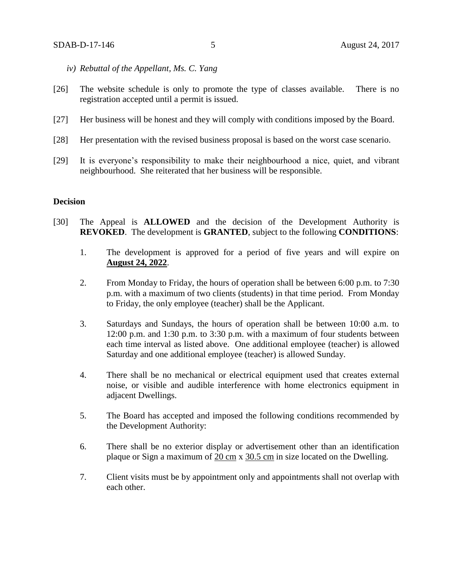- *iv) Rebuttal of the Appellant, Ms. C. Yang*
- [26] The website schedule is only to promote the type of classes available. There is no registration accepted until a permit is issued.
- [27] Her business will be honest and they will comply with conditions imposed by the Board.
- [28] Her presentation with the revised business proposal is based on the worst case scenario.
- [29] It is everyone's responsibility to make their neighbourhood a nice, quiet, and vibrant neighbourhood. She reiterated that her business will be responsible.

#### **Decision**

- [30] The Appeal is **ALLOWED** and the decision of the Development Authority is **REVOKED**. The development is **GRANTED**, subject to the following **CONDITIONS**:
	- 1. The development is approved for a period of five years and will expire on **August 24, 2022**.
	- 2. From Monday to Friday, the hours of operation shall be between 6:00 p.m. to 7:30 p.m. with a maximum of two clients (students) in that time period. From Monday to Friday, the only employee (teacher) shall be the Applicant.
	- 3. Saturdays and Sundays, the hours of operation shall be between 10:00 a.m. to 12:00 p.m. and 1:30 p.m. to 3:30 p.m. with a maximum of four students between each time interval as listed above. One additional employee (teacher) is allowed Saturday and one additional employee (teacher) is allowed Sunday.
	- 4. There shall be no mechanical or electrical equipment used that creates external noise, or visible and audible interference with home electronics equipment in adjacent Dwellings.
	- 5. The Board has accepted and imposed the following conditions recommended by the Development Authority:
	- 6. There shall be no exterior display or advertisement other than an identification plaque or Sign a maximum of 20 [cm](javascript:void(0);) x [30.5](javascript:void(0);) cm in size located on the Dwelling.
	- 7. Client visits must be by appointment only and appointments shall not overlap with each other.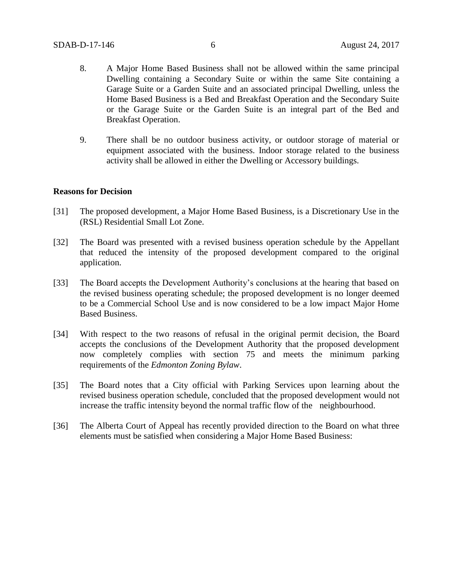- 8. A Major Home Based Business shall not be allowed within the same principal Dwelling containing a Secondary Suite or within the same Site containing a Garage Suite or a Garden Suite and an associated principal Dwelling, unless the Home Based Business is a Bed and Breakfast Operation and the Secondary Suite or the Garage Suite or the Garden Suite is an integral part of the Bed and Breakfast Operation.
- 9. There shall be no outdoor business activity, or outdoor storage of material or equipment associated with the business. Indoor storage related to the business activity shall be allowed in either the Dwelling or Accessory buildings.

#### **Reasons for Decision**

- [31] The proposed development, a Major Home Based Business, is a Discretionary Use in the (RSL) Residential Small Lot Zone.
- [32] The Board was presented with a revised business operation schedule by the Appellant that reduced the intensity of the proposed development compared to the original application.
- [33] The Board accepts the Development Authority's conclusions at the hearing that based on the revised business operating schedule; the proposed development is no longer deemed to be a Commercial School Use and is now considered to be a low impact Major Home Based Business.
- [34] With respect to the two reasons of refusal in the original permit decision, the Board accepts the conclusions of the Development Authority that the proposed development now completely complies with section 75 and meets the minimum parking requirements of the *Edmonton Zoning Bylaw*.
- [35] The Board notes that a City official with Parking Services upon learning about the revised business operation schedule, concluded that the proposed development would not increase the traffic intensity beyond the normal traffic flow of the neighbourhood.
- [36] The Alberta Court of Appeal has recently provided direction to the Board on what three elements must be satisfied when considering a Major Home Based Business: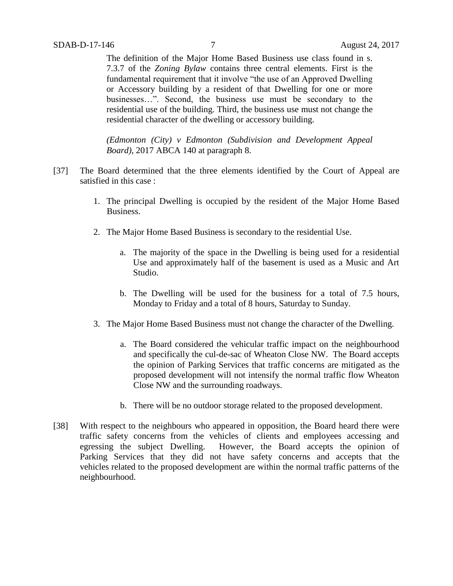The definition of the Major Home Based Business use class found in s. 7.3.7 of the *Zoning Bylaw* contains three central elements. First is the fundamental requirement that it involve "the use of an Approved Dwelling or Accessory building by a resident of that Dwelling for one or more businesses…". Second, the business use must be secondary to the residential use of the building. Third, the business use must not change the residential character of the dwelling or accessory building.

*(Edmonton (City) v Edmonton (Subdivision and Development Appeal Board)*, 2017 ABCA 140 at paragraph 8.

- [37] The Board determined that the three elements identified by the Court of Appeal are satisfied in this case :
	- 1. The principal Dwelling is occupied by the resident of the Major Home Based Business.
	- 2. The Major Home Based Business is secondary to the residential Use.
		- a. The majority of the space in the Dwelling is being used for a residential Use and approximately half of the basement is used as a Music and Art Studio.
		- b. The Dwelling will be used for the business for a total of 7.5 hours, Monday to Friday and a total of 8 hours, Saturday to Sunday.
	- 3. The Major Home Based Business must not change the character of the Dwelling.
		- a. The Board considered the vehicular traffic impact on the neighbourhood and specifically the cul-de-sac of Wheaton Close NW. The Board accepts the opinion of Parking Services that traffic concerns are mitigated as the proposed development will not intensify the normal traffic flow Wheaton Close NW and the surrounding roadways.
		- b. There will be no outdoor storage related to the proposed development.
- [38] With respect to the neighbours who appeared in opposition, the Board heard there were traffic safety concerns from the vehicles of clients and employees accessing and egressing the subject Dwelling. However, the Board accepts the opinion of Parking Services that they did not have safety concerns and accepts that the vehicles related to the proposed development are within the normal traffic patterns of the neighbourhood.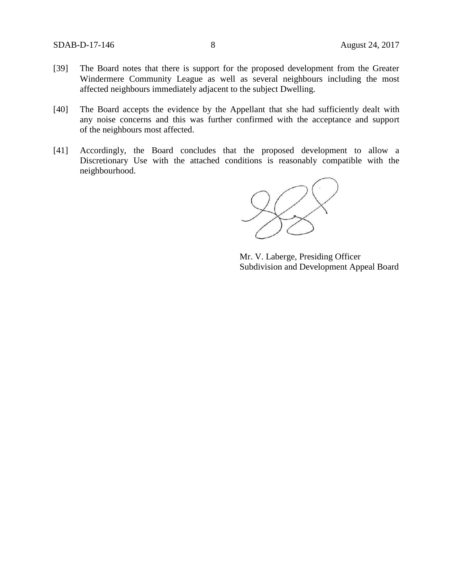- [39] The Board notes that there is support for the proposed development from the Greater Windermere Community League as well as several neighbours including the most affected neighbours immediately adjacent to the subject Dwelling.
- [40] The Board accepts the evidence by the Appellant that she had sufficiently dealt with any noise concerns and this was further confirmed with the acceptance and support of the neighbours most affected.
- [41] Accordingly, the Board concludes that the proposed development to allow a Discretionary Use with the attached conditions is reasonably compatible with the neighbourhood.

Mr. V. Laberge, Presiding Officer Subdivision and Development Appeal Board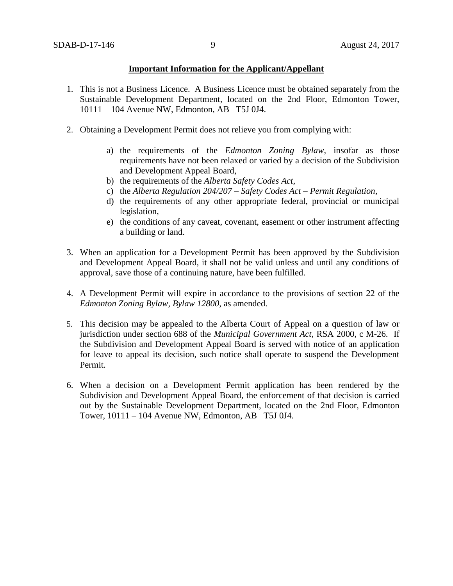#### **Important Information for the Applicant/Appellant**

- 1. This is not a Business Licence. A Business Licence must be obtained separately from the Sustainable Development Department, located on the 2nd Floor, Edmonton Tower, 10111 – 104 Avenue NW, Edmonton, AB T5J 0J4.
- 2. Obtaining a Development Permit does not relieve you from complying with:
	- a) the requirements of the *Edmonton Zoning Bylaw*, insofar as those requirements have not been relaxed or varied by a decision of the Subdivision and Development Appeal Board,
	- b) the requirements of the *Alberta Safety Codes Act*,
	- c) the *Alberta Regulation 204/207 – Safety Codes Act – Permit Regulation*,
	- d) the requirements of any other appropriate federal, provincial or municipal legislation,
	- e) the conditions of any caveat, covenant, easement or other instrument affecting a building or land.
- 3. When an application for a Development Permit has been approved by the Subdivision and Development Appeal Board, it shall not be valid unless and until any conditions of approval, save those of a continuing nature, have been fulfilled.
- 4. A Development Permit will expire in accordance to the provisions of section 22 of the *Edmonton Zoning Bylaw, Bylaw 12800*, as amended.
- 5. This decision may be appealed to the Alberta Court of Appeal on a question of law or jurisdiction under section 688 of the *Municipal Government Act*, RSA 2000, c M-26. If the Subdivision and Development Appeal Board is served with notice of an application for leave to appeal its decision, such notice shall operate to suspend the Development Permit.
- 6. When a decision on a Development Permit application has been rendered by the Subdivision and Development Appeal Board, the enforcement of that decision is carried out by the Sustainable Development Department, located on the 2nd Floor, Edmonton Tower, 10111 – 104 Avenue NW, Edmonton, AB T5J 0J4.